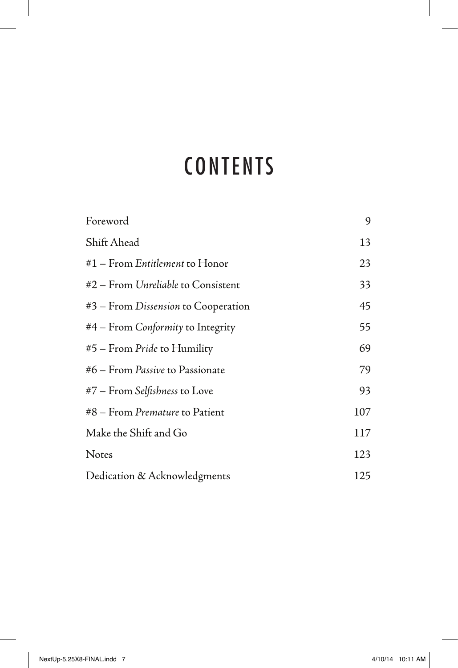# **CONTENTS**

| Foreword                            | 9   |
|-------------------------------------|-----|
| Shift Ahead                         | 13  |
| $#1$ – From Entitlement to Honor    | 23  |
| #2 – From Unreliable to Consistent  | 33  |
| #3 – From Dissension to Cooperation | 45  |
| #4 - From Conformity to Integrity   | 55  |
| #5 – From Pride to Humility         | 69  |
| #6 – From Passive to Passionate     | 79  |
| #7 – From Selfishness to Love       | 93  |
| #8 – From Premature to Patient      | 107 |
| Make the Shift and Go               | 117 |
| <b>Notes</b>                        | 123 |
| Dedication & Acknowledgments        | 125 |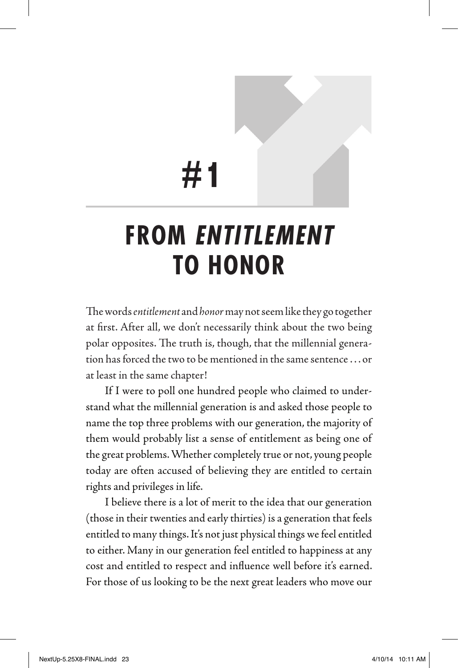

# **FROM** *ENTITLEMENT* **TO HONOR**

The words *entitlement* and *honor* may not seem like they go together at first. After all, we don't necessarily think about the two being polar opposites. The truth is, though, that the millennial generation has forced the two to be mentioned in the same sentence . . . or at least in the same chapter!

If I were to poll one hundred people who claimed to understand what the millennial generation is and asked those people to name the top three problems with our generation, the majority of them would probably list a sense of entitlement as being one of the great problems. Whether completely true or not, young people today are often accused of believing they are entitled to certain rights and privileges in life.

I believe there is a lot of merit to the idea that our generation (those in their twenties and early thirties) is a generation that feels entitled to many things. It's not just physical things we feel entitled to either. Many in our generation feel entitled to happiness at any cost and entitled to respect and influence well before it's earned. For those of us looking to be the next great leaders who move our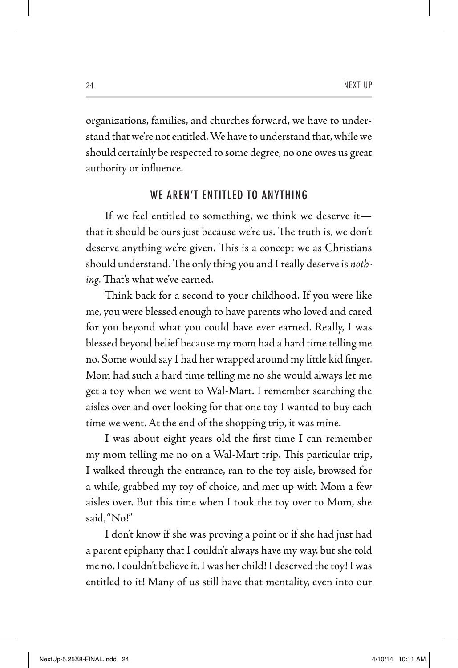organizations, families, and churches forward, we have to understand that we're not entitled. We have to understand that, while we should certainly be respected to some degree, no one owes us great authority or influence.

### WE AREN'T ENTITLED TO ANYTHING

If we feel entitled to something, we think we deserve it that it should be ours just because we're us. The truth is, we don't deserve anything we're given. This is a concept we as Christians should understand. The only thing you and I really deserve is *nothing*. That's what we've earned.

Think back for a second to your childhood. If you were like me, you were blessed enough to have parents who loved and cared for you beyond what you could have ever earned. Really, I was blessed beyond belief because my mom had a hard time telling me no. Some would say I had her wrapped around my little kid finger. Mom had such a hard time telling me no she would always let me get a toy when we went to Wal-Mart. I remember searching the aisles over and over looking for that one toy I wanted to buy each time we went. At the end of the shopping trip, it was mine.

I was about eight years old the first time I can remember my mom telling me no on a Wal-Mart trip. This particular trip, I walked through the entrance, ran to the toy aisle, browsed for a while, grabbed my toy of choice, and met up with Mom a few aisles over. But this time when I took the toy over to Mom, she said, "No!"

I don't know if she was proving a point or if she had just had a parent epiphany that I couldn't always have my way, but she told me no. I couldn't believe it. I was her child! I deserved the toy! I was entitled to it! Many of us still have that mentality, even into our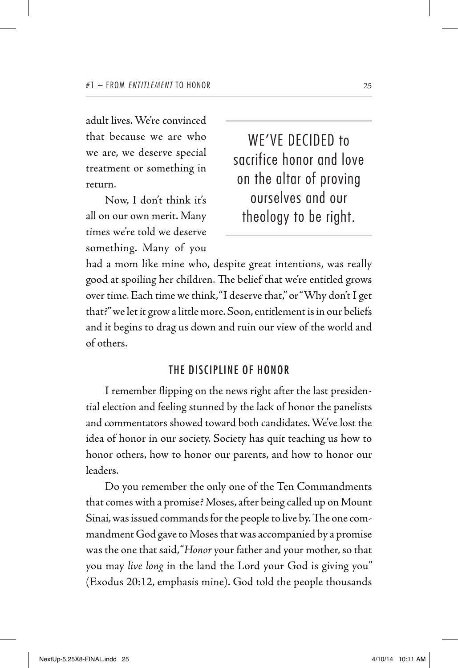adult lives. We're convinced that because we are who we are, we deserve special treatment or something in return.

Now, I don't think it's all on our own merit. Many times we're told we deserve something. Many of you

WE'VE DECIDED to sacrifice honor and love on the altar of proving ourselves and our theology to be right.

had a mom like mine who, despite great intentions, was really good at spoiling her children. The belief that we're entitled grows over time. Each time we think, "I deserve that," or "Why don't I get that?" we let it grow a little more. Soon, entitlement is in our beliefs and it begins to drag us down and ruin our view of the world and of others.

### THE DISCIPLINE OF HONOR

I remember flipping on the news right after the last presidential election and feeling stunned by the lack of honor the panelists and commentators showed toward both candidates. We've lost the idea of honor in our society. Society has quit teaching us how to honor others, how to honor our parents, and how to honor our leaders.

Do you remember the only one of the Ten Commandments that comes with a promise? Moses, after being called up on Mount Sinai, was issued commands for the people to live by. The one commandment God gave to Moses that was accompanied by a promise was the one that said, "*Honor* your father and your mother, so that you may *live long* in the land the Lord your God is giving you" (Exodus 20:12, emphasis mine). God told the people thousands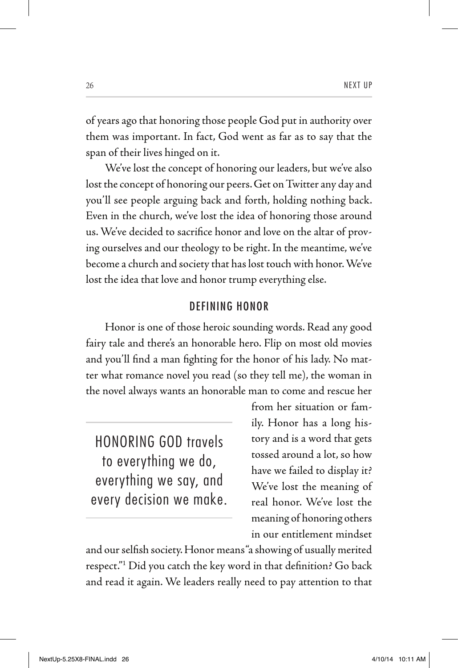of years ago that honoring those people God put in authority over them was important. In fact, God went as far as to say that the span of their lives hinged on it.

We've lost the concept of honoring our leaders, but we've also lost the concept of honoring our peers. Get on Twitter any day and you'll see people arguing back and forth, holding nothing back. Even in the church, we've lost the idea of honoring those around us. We've decided to sacrifice honor and love on the altar of proving ourselves and our theology to be right. In the meantime, we've become a church and society that has lost touch with honor. We've lost the idea that love and honor trump everything else.

#### DEFINING HONOR

Honor is one of those heroic sounding words. Read any good fairy tale and there's an honorable hero. Flip on most old movies and you'll find a man fighting for the honor of his lady. No matter what romance novel you read (so they tell me), the woman in the novel always wants an honorable man to come and rescue her

HONORING GOD travels to everything we do, everything we say, and every decision we make. from her situation or family. Honor has a long history and is a word that gets tossed around a lot, so how have we failed to display it? We've lost the meaning of real honor. We've lost the meaning of honoring others in our entitlement mindset

and our selfish society. Honor means "a showing of usually merited respect."1 Did you catch the key word in that definition? Go back and read it again. We leaders really need to pay attention to that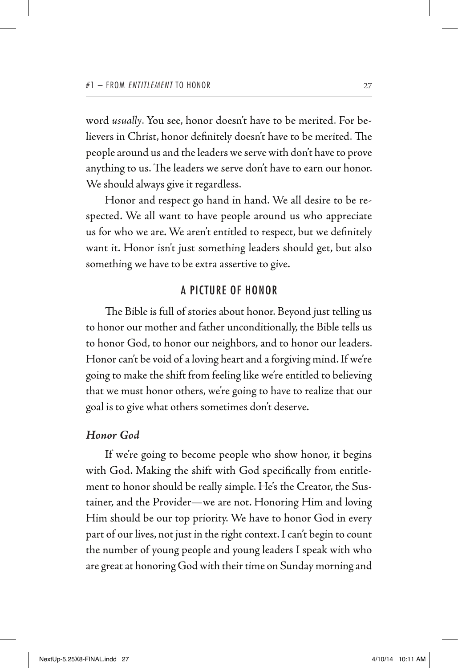word *usually*. You see, honor doesn't have to be merited. For believers in Christ, honor definitely doesn't have to be merited. The people around us and the leaders we serve with don't have to prove anything to us. The leaders we serve don't have to earn our honor. We should always give it regardless.

Honor and respect go hand in hand. We all desire to be respected. We all want to have people around us who appreciate us for who we are. We aren't entitled to respect, but we definitely want it. Honor isn't just something leaders should get, but also something we have to be extra assertive to give.

# A PICTURE OF HONOR

The Bible is full of stories about honor. Beyond just telling us to honor our mother and father unconditionally, the Bible tells us to honor God, to honor our neighbors, and to honor our leaders. Honor can't be void of a loving heart and a forgiving mind. If we're going to make the shift from feeling like we're entitled to believing that we must honor others, we're going to have to realize that our goal is to give what others sometimes don't deserve.

#### *Honor God*

If we're going to become people who show honor, it begins with God. Making the shift with God specifically from entitlement to honor should be really simple. He's the Creator, the Sustainer, and the Provider—we are not. Honoring Him and loving Him should be our top priority. We have to honor God in every part of our lives, not just in the right context. I can't begin to count the number of young people and young leaders I speak with who are great at honoring God with their time on Sunday morning and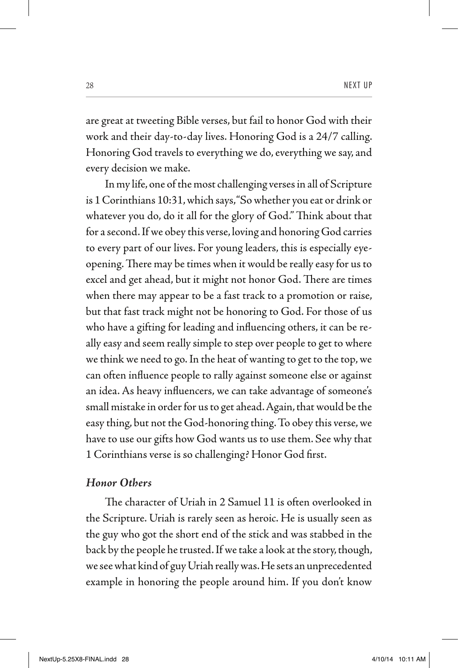are great at tweeting Bible verses, but fail to honor God with their work and their day-to-day lives. Honoring God is a 24/7 calling. Honoring God travels to everything we do, everything we say, and every decision we make.

In my life, one of the most challenging verses in all of Scripture is 1 Corinthians 10:31, which says, "So whether you eat or drink or whatever you do, do it all for the glory of God." Think about that for a second. If we obey this verse, loving and honoring God carries to every part of our lives. For young leaders, this is especially eyeopening. There may be times when it would be really easy for us to excel and get ahead, but it might not honor God. There are times when there may appear to be a fast track to a promotion or raise, but that fast track might not be honoring to God. For those of us who have a gifting for leading and influencing others, it can be really easy and seem really simple to step over people to get to where we think we need to go. In the heat of wanting to get to the top, we can often influence people to rally against someone else or against an idea. As heavy influencers, we can take advantage of someone's small mistake in order for us to get ahead. Again, that would be the easy thing, but not the God-honoring thing. To obey this verse, we have to use our gifts how God wants us to use them. See why that 1 Corinthians verse is so challenging? Honor God first.

#### *Honor Others*

The character of Uriah in 2 Samuel 11 is often overlooked in the Scripture. Uriah is rarely seen as heroic. He is usually seen as the guy who got the short end of the stick and was stabbed in the back by the people he trusted. If we take a look at the story, though, we see what kind of guy Uriah really was. He sets an unprecedented example in honoring the people around him. If you don't know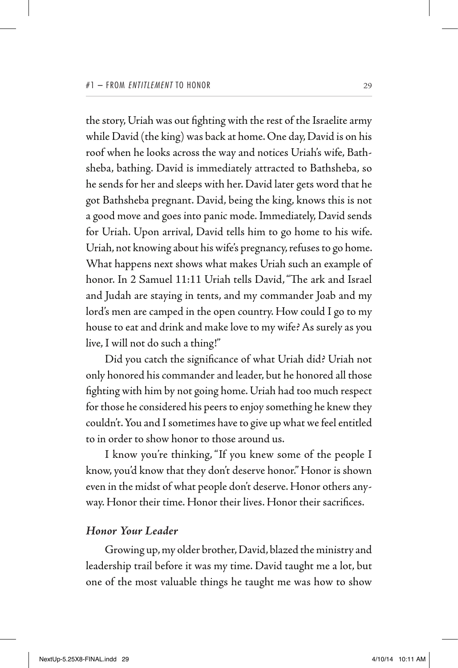the story, Uriah was out fighting with the rest of the Israelite army while David (the king) was back at home. One day, David is on his roof when he looks across the way and notices Uriah's wife, Bathsheba, bathing. David is immediately attracted to Bathsheba, so he sends for her and sleeps with her. David later gets word that he got Bathsheba pregnant. David, being the king, knows this is not a good move and goes into panic mode. Immediately, David sends for Uriah. Upon arrival, David tells him to go home to his wife. Uriah, not knowing about his wife's pregnancy, refuses to go home. What happens next shows what makes Uriah such an example of honor. In 2 Samuel 11:11 Uriah tells David, "The ark and Israel and Judah are staying in tents, and my commander Joab and my lord's men are camped in the open country. How could I go to my house to eat and drink and make love to my wife? As surely as you live, I will not do such a thing!"

Did you catch the significance of what Uriah did? Uriah not only honored his commander and leader, but he honored all those fighting with him by not going home. Uriah had too much respect for those he considered his peers to enjoy something he knew they couldn't. You and I sometimes have to give up what we feel entitled to in order to show honor to those around us.

I know you're thinking, "If you knew some of the people I know, you'd know that they don't deserve honor." Honor is shown even in the midst of what people don't deserve. Honor others anyway. Honor their time. Honor their lives. Honor their sacrifices.

#### *Honor Your Leader*

Growing up, my older brother, David, blazed the ministry and leadership trail before it was my time. David taught me a lot, but one of the most valuable things he taught me was how to show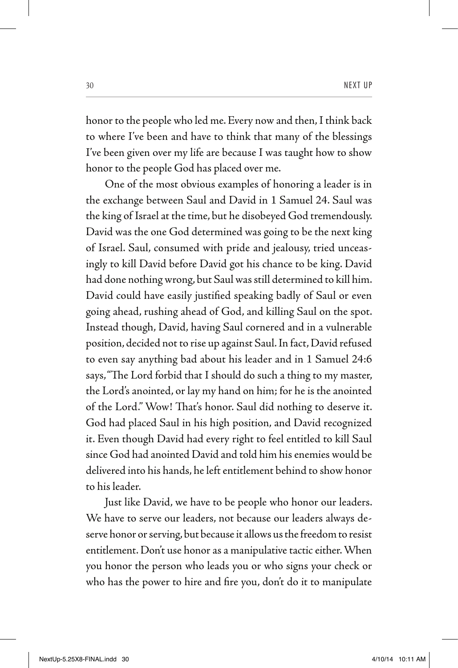honor to the people who led me. Every now and then, I think back to where I've been and have to think that many of the blessings I've been given over my life are because I was taught how to show honor to the people God has placed over me.

One of the most obvious examples of honoring a leader is in the exchange between Saul and David in 1 Samuel 24. Saul was the king of Israel at the time, but he disobeyed God tremendously. David was the one God determined was going to be the next king of Israel. Saul, consumed with pride and jealousy, tried unceasingly to kill David before David got his chance to be king. David had done nothing wrong, but Saul was still determined to kill him. David could have easily justified speaking badly of Saul or even going ahead, rushing ahead of God, and killing Saul on the spot. Instead though, David, having Saul cornered and in a vulnerable position, decided not to rise up against Saul. In fact, David refused to even say anything bad about his leader and in 1 Samuel 24:6 says, "The Lord forbid that I should do such a thing to my master, the Lord's anointed, or lay my hand on him; for he is the anointed of the Lord." Wow! That's honor. Saul did nothing to deserve it. God had placed Saul in his high position, and David recognized it. Even though David had every right to feel entitled to kill Saul since God had anointed David and told him his enemies would be delivered into his hands, he left entitlement behind to show honor to his leader.

Just like David, we have to be people who honor our leaders. We have to serve our leaders, not because our leaders always deserve honor or serving, but because it allows us the freedom to resist entitlement. Don't use honor as a manipulative tactic either. When you honor the person who leads you or who signs your check or who has the power to hire and fire you, don't do it to manipulate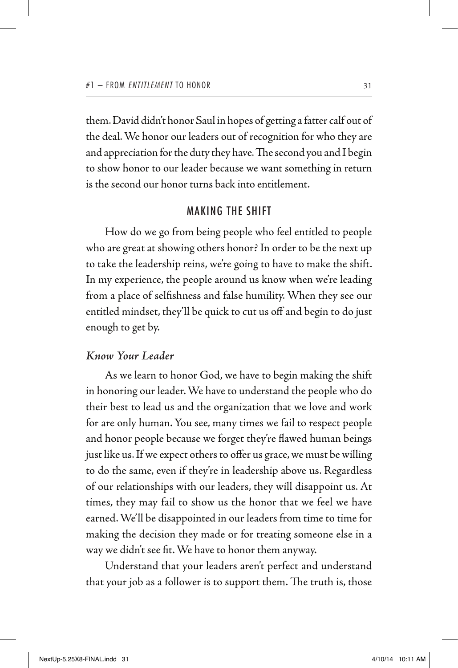them. David didn't honor Saul in hopes of getting a fatter calf out of the deal. We honor our leaders out of recognition for who they are and appreciation for the duty they have. The second you and I begin to show honor to our leader because we want something in return is the second our honor turns back into entitlement.

# MAKING THE SHIFT

How do we go from being people who feel entitled to people who are great at showing others honor? In order to be the next up to take the leadership reins, we're going to have to make the shift. In my experience, the people around us know when we're leading from a place of selfishness and false humility. When they see our entitled mindset, they'll be quick to cut us off and begin to do just enough to get by.

#### *Know Your Leader*

As we learn to honor God, we have to begin making the shift in honoring our leader. We have to understand the people who do their best to lead us and the organization that we love and work for are only human. You see, many times we fail to respect people and honor people because we forget they're flawed human beings just like us. If we expect others to offer us grace, we must be willing to do the same, even if they're in leadership above us. Regardless of our relationships with our leaders, they will disappoint us. At times, they may fail to show us the honor that we feel we have earned. We'll be disappointed in our leaders from time to time for making the decision they made or for treating someone else in a way we didn't see fit. We have to honor them anyway.

Understand that your leaders aren't perfect and understand that your job as a follower is to support them. The truth is, those